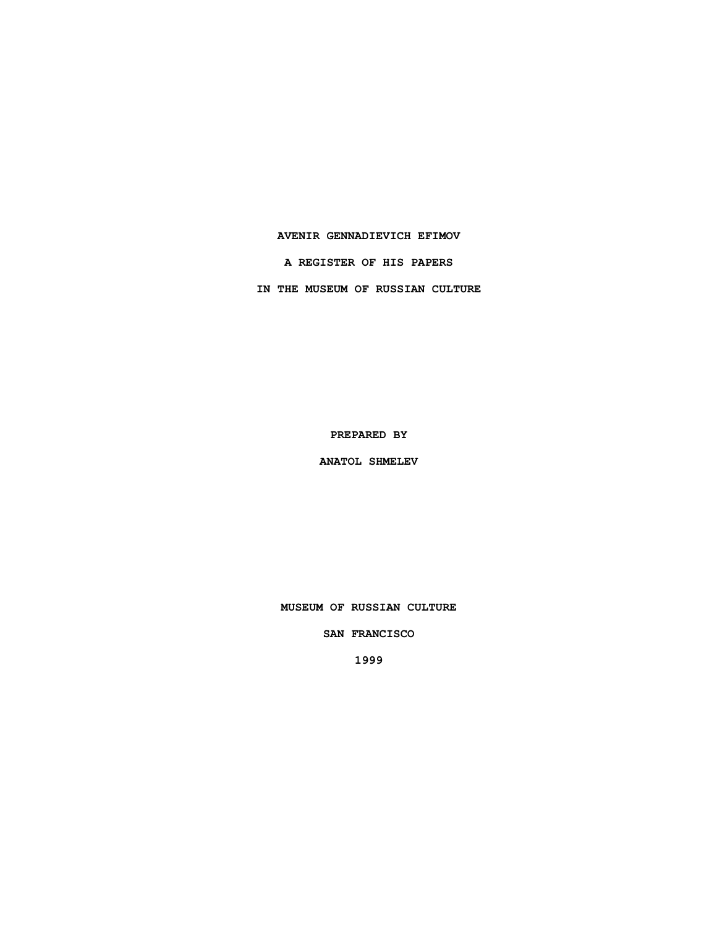### **AVENIR GENNADIEVICH EFIMOV**

**A REGISTER OF HIS PAPERS**

**IN THE MUSEUM OF RUSSIAN CULTURE**

**PREPARED BY**

**ANATOL SHMELEV**

**MUSEUM OF RUSSIAN CULTURE**

**SAN FRANCISCO**

**1999**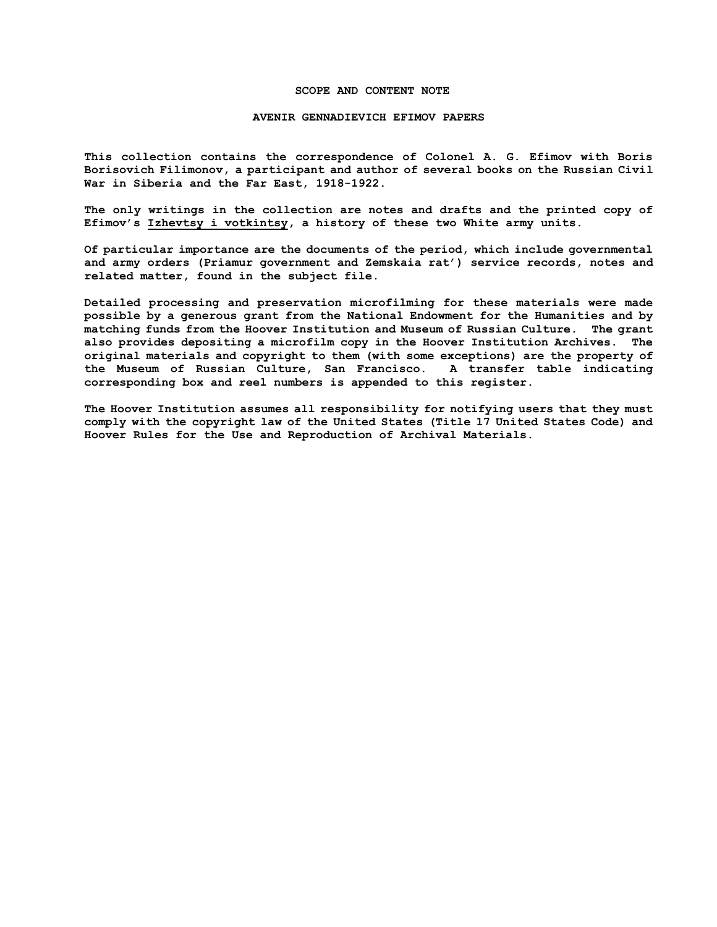#### **SCOPE AND CONTENT NOTE**

### **AVENIR GENNADIEVICH EFIMOV PAPERS**

**This collection contains the correspondence of Colonel A. G. Efimov with Boris Borisovich Filimonov, a participant and author of several books on the Russian Civil War in Siberia and the Far East, 1918-1922.** 

**The only writings in the collection are notes and drafts and the printed copy of Efimov's Izhevtsy i votkintsy, a history of these two White army units.**

**Of particular importance are the documents of the period, which include governmental and army orders (Priamur government and Zemskaia rat') service records, notes and related matter, found in the subject file.**

**Detailed processing and preservation microfilming for these materials were made possible by a generous grant from the National Endowment for the Humanities and by matching funds from the Hoover Institution and Museum of Russian Culture. The grant also provides depositing a microfilm copy in the Hoover Institution Archives. The original materials and copyright to them (with some exceptions) are the property of the Museum of Russian Culture, San Francisco. A transfer table indicating corresponding box and reel numbers is appended to this register.**

**The Hoover Institution assumes all responsibility for notifying users that they must comply with the copyright law of the United States (Title 17 United States Code) and Hoover Rules for the Use and Reproduction of Archival Materials.**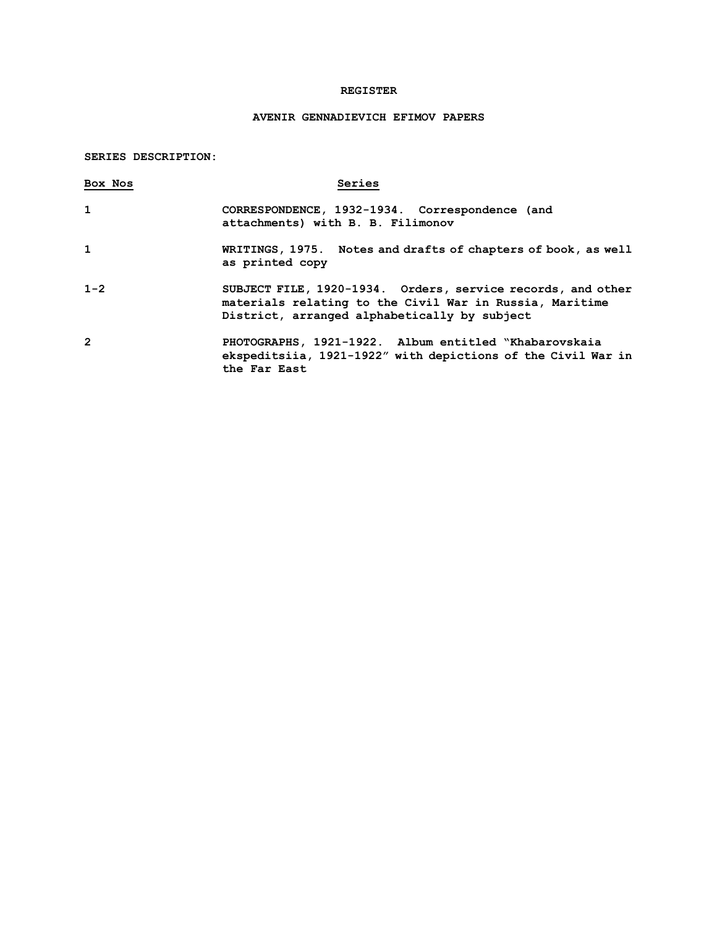## **REGISTER**

# **AVENIR GENNADIEVICH EFIMOV PAPERS**

## **SERIES DESCRIPTION:**

| Box Nos        | Series                                                                                                                                                                 |
|----------------|------------------------------------------------------------------------------------------------------------------------------------------------------------------------|
|                | CORRESPONDENCE, 1932-1934. Correspondence (and<br>attachments) with B. B. Filimonov                                                                                    |
|                | WRITINGS, 1975. Notes and drafts of chapters of book, as well<br>as printed copy                                                                                       |
| $1 - 2$        | SUBJECT FILE, 1920-1934. Orders, service records, and other<br>materials relating to the Civil War in Russia, Maritime<br>District, arranged alphabetically by subject |
| $\overline{2}$ | PHOTOGRAPHS, 1921-1922. Album entitled "Khabarovskaia<br>ekspeditsiia, 1921-1922" with depictions of the Civil War in<br>the Far East                                  |